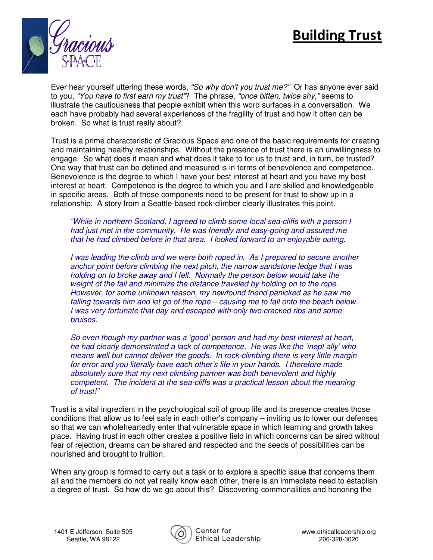## Building Trust



Ever hear yourself uttering these words, "So why don't you trust me?" Or has anyone ever said to you, "You have to first earn my trust"? The phrase, "once bitten, twice shy," seems to illustrate the cautiousness that people exhibit when this word surfaces in a conversation. We each have probably had several experiences of the fragility of trust and how it often can be broken. So what is trust really about?

Trust is a prime characteristic of Gracious Space and one of the basic requirements for creating and maintaining healthy relationships. Without the presence of trust there is an unwillingness to engage. So what does it mean and what does it take to for us to trust and, in turn, be trusted? One way that trust can be defined and measured is in terms of benevolence and competence. Benevolence is the degree to which I have your best interest at heart and you have my best interest at heart. Competence is the degree to which you and I are skilled and knowledgeable in specific areas. Both of these components need to be present for trust to show up in a relationship. A story from a Seattle-based rock-climber clearly illustrates this point.

"While in northern Scotland, I agreed to climb some local sea-cliffs with a person I had just met in the community. He was friendly and easy-going and assured me that he had climbed before in that area. I looked forward to an enjoyable outing.

I was leading the climb and we were both roped in. As I prepared to secure another anchor point before climbing the next pitch, the narrow sandstone ledge that I was holding on to broke away and I fell. Normally the person below would take the weight of the fall and minimize the distance traveled by holding on to the rope. However, for some unknown reason, my newfound friend panicked as he saw me falling towards him and let go of the rope – causing me to fall onto the beach below. I was very fortunate that day and escaped with only two cracked ribs and some bruises.

So even though my partner was a 'good' person and had my best interest at heart, he had clearly demonstrated a lack of competence. He was like the 'inept ally' who means well but cannot deliver the goods. In rock-climbing there is very little margin for error and you literally have each other's life in your hands. I therefore made absolutely sure that my next climbing partner was both benevolent and highly competent. The incident at the sea-cliffs was a practical lesson about the meaning of trust!"

Trust is a vital ingredient in the psychological soil of group life and its presence creates those conditions that allow us to feel safe in each other's company – inviting us to lower our defenses so that we can wholeheartedly enter that vulnerable space in which learning and growth takes place. Having trust in each other creates a positive field in which concerns can be aired without fear of rejection, dreams can be shared and respected and the seeds of possibilities can be nourished and brought to fruition.

When any group is formed to carry out a task or to explore a specific issue that concerns them all and the members do not yet really know each other, there is an immediate need to establish a degree of trust. So how do we go about this? Discovering commonalities and honoring the